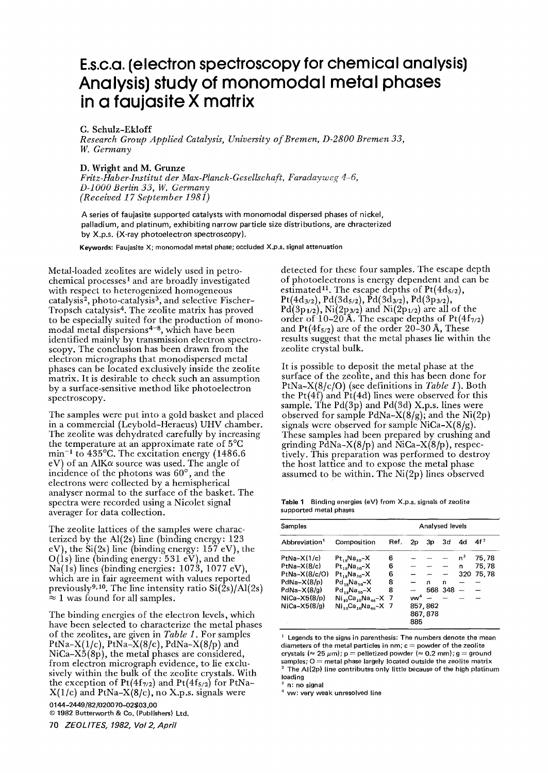## **E.s.c.a. (electron spectroscopy for chemical analysis) Analysis) study of monomodal metal phases in a faujasite X matrix**

G. Schulz-Ekloff

*Research Group Applied Catalysis, University of Bremen, D-2800 Bremen 33, W. Germany* 

## **D. Wright and M. Grunze**

*Fritz-Haber-Institut der Max-Planck-Gesellschaft, Faradayweg 4–6, D-iO00 Berlin 33, W. Germany (Received ! 7 September 1981)* 

A series of faujasite supported catalysts with monomodal dispersed phases of **nickel,**  palladium, and platinum, exhibiting narrow particle size distributions, are **chracterized**  by X.p.s. (X-ray photoelectron spectroscopy).

Keywords: Faujasite X; monomodal metal phase; occluded X.p.s. signal attenuation

Metal-loaded zeolites are widely used in petrochemical processes 1 and are broadly investigated with respect to heterogenized homogeneous catalysis<sup>2</sup>, photo-catalysis<sup>3</sup>, and selective Fischer-Tropsch catalysis<sup>4</sup>. The zeolite matrix has proved to be especially suited for the production of monomodal metal dispersions 4-8, which have been identified mainly by transmission electron spectroscopy. The conclusion has been drawn from the electron micrographs that monodispersed metal phases can be located exclusively inside the zeolite matrix. It is desirable to check such an assumption by a surface-sensitive method like photoelectron spectroscopy.

The samples were put into a gold basket and placed in a commercial (Leybold-Heraeus) UHV chamber. The zeolite was dehydrated carefully by increasing the temperature at an approximate rate of 5°C min<sup>-1</sup> to 435°C. The excitation energy (1486.6) eV) of an AlK $\alpha$  source was used. The angle of incidence of the photons was  $60^{\circ}$ , and the electrons were collected by a hemispherical analyser normal to the surface of the basket. The spectra were recorded using a Nicolet signal averager for data collection.

The zeolite lattices of the samples were characterized by the Al(2s) line (binding energy: 123 eV), the  $Si(2s)$  line (binding energy: 157 eV), the  $O(1s)$  line (binding energy: 531 eV), and the  $Na(1s)$  lines (binding energies: 1073, 1077 eV), which are in fair agreement with values reported previously<sup>9,10</sup>. The line intensity ratio  $Si(2s)/Al(2s)$  $\approx 1$  was found for all samples.

The binding energies of the electron levels, which have been selected to characterize the metal phases of the zeolites, are given in *Table 1.* For samples PtNa-X(1/c), PtNa-X(8/c), PdNa-X(8/p) and NiCa-X5(8p), the metal phases are considered, from electron micrograph evidence, to lie exclusively within the bulk of the zeolite crystals. With the exception of  $Pt(4f_{7/2})$  and  $Pt(4f_{5/2})$  for PtNa- $X(1/c)$  and PtNa– $X(8/c)$ , no X.p.s. signals were

0144 -2449/82/020070-02503,00 © 1982 Butterworth & Co. (Publishers) Ltd,

70 *ZEOLITES, 1982, Vo12, April* 

detected for these four samples. The escape depth of photoelectrons is energy dependent and can be estimated<sup>11</sup>. The escape depths of  $Pt(4d_{5/2})$ ,  $Pt(4d_{3/2}), Pd(3d_{5/2}), \dot{P}d(3d_{3/2}), Pd(3p_{3/2}),$  $Pd(3p_{1/2}), Ni(2p_{3/2})$  and  $Ni(2p_{1/2})$  are all of the order of 10–20 Å. The escape depths of  $Pt(4f_{7/2})$ . and Pt( $4f_{5/2}$ ) are of the order 20-30 Å, These results suggest that the metal phases lie within the zeolite crystal bulk.

It is possible to deposit the metal phase at the surface of the zeolite, and this has been done for PtNa-X(8/c/O) (see definitions in *Table 1).* Both the  $Pt(4f)$  and  $Pt(4d)$  lines were observed for this sample. The Pd(3p) and Pd(3d) X.p.s. lines were observed for sample PdNa- $X(8/g)$ ; and the Ni $(2p)$ signals were observed for sample NiCa- $X(8/g)$ . These samples had been prepared by crushing and grinding PdNa-X(8/p) and NiCa-X(8/p), respectively. This preparation was performed to destroy the host lattice and to expose the metal phase assumed to be within. The  $Ni(2p)$  lines observed

**Table 1 Binding energies (eV) from** X.p.s. signals of **zeolite supported** metal phases

| Samples                   |                                   |      | Analysed levels |         |                          |                |                 |
|---------------------------|-----------------------------------|------|-----------------|---------|--------------------------|----------------|-----------------|
| Abbreviation <sup>1</sup> | Composition                       | Ref. | 2p              | 3p      | 3d                       | 4d             | 4f <sup>2</sup> |
| $PtNa-X(1/c)$             | $Pt_{18}Na_{50}-X$                | 6    |                 |         |                          | n <sup>3</sup> | 75,78           |
| $PtNa-X(8/c)$             | $Pt_{18}Na_{50} - X$              | 6    |                 |         | $\overline{\phantom{a}}$ | n              | 75,78           |
| PtNa-X(8/c/O)             | $Pt_{18}Na_{50} - X$              | 6    |                 |         |                          |                | 320 75,78       |
| $PdNa-X(8/p)$             | $Pd_{18}Na_{50} - X$              | 8    |                 | n       | n                        |                |                 |
| $PdNa-X(8/q)$             | $Pd_{\text{ref}}Na_{\text{eq}}-X$ | 8    |                 |         | 568 348                  |                |                 |
| $NiCa-X5(8/p)$            | $Ni_{10}Ca_{10}Na_{46} - X$       | - 7  | $vw^4$          |         |                          |                |                 |
| $NiCa-X5(8/q)$            | $Ni_{10}Ca_{10}Na_{46} - X$ 7     |      |                 | 857,862 |                          |                |                 |
|                           |                                   |      |                 | 867,878 |                          |                |                 |
|                           |                                   |      | 885             |         |                          |                |                 |

Legends to the signs in **parenthesis: The numbers denote the** mean diameters of the metal particles in nm; c = powder of the zeolite crystals  $(\approx 25~\mu m)$ ; p = pelletized powder  $(\approx 0.2~\text{mm})$ ; g = ground samples; O = **metal phase largely located outside the zeolite** matrix The AI(2p) **line contributes only little because of the high** platinum Ioadjng

n: no signal

4 vw: very weak **unresolved line**